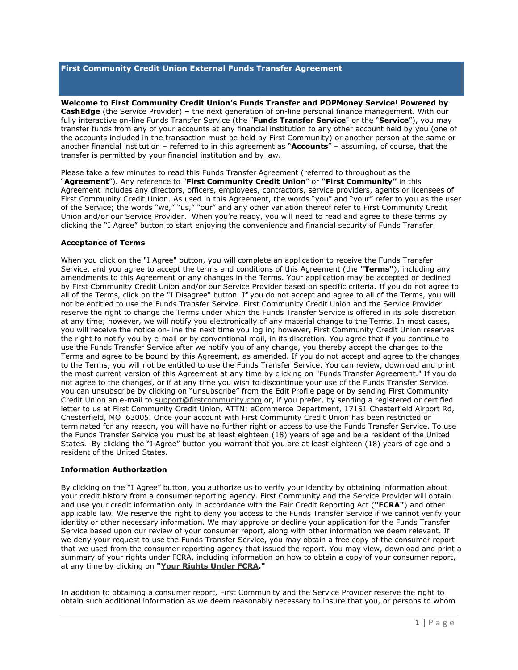### **First Community Credit Union External Funds Transfer Agreement**

**Welcome to First Community Credit Union's Funds Transfer and POPMoney Service! Powered by CashEdge** (the Service Provider) **–** the next generation of on-line personal finance management. With our fully interactive on-line Funds Transfer Service (the "**Funds Transfer Service**" or the "**Service**"), you may transfer funds from any of your accounts at any financial institution to any other account held by you (one of the accounts included in the transaction must be held by First Community) or another person at the same or another financial institution – referred to in this agreement as "**Accounts**" – assuming, of course, that the transfer is permitted by your financial institution and by law.

Please take a few minutes to read this Funds Transfer Agreement (referred to throughout as the "**Agreement**"). Any reference to "**First Community Credit Union**" or **"First Community"** in this Agreement includes any directors, officers, employees, contractors, service providers, agents or licensees of First Community Credit Union. As used in this Agreement, the words "you" and "your" refer to you as the user of the Service; the words "we," "us," "our" and any other variation thereof refer to First Community Credit Union and/or our Service Provider. When you're ready, you will need to read and agree to these terms by clicking the "I Agree" button to start enjoying the convenience and financial security of Funds Transfer.

## **Acceptance of Terms**

When you click on the "I Agree" button, you will complete an application to receive the Funds Transfer Service, and you agree to accept the terms and conditions of this Agreement (the **"Terms"**), including any amendments to this Agreement or any changes in the Terms. Your application may be accepted or declined by First Community Credit Union and/or our Service Provider based on specific criteria. If you do not agree to all of the Terms, click on the "I Disagree" button. If you do not accept and agree to all of the Terms, you will not be entitled to use the Funds Transfer Service. First Community Credit Union and the Service Provider reserve the right to change the Terms under which the Funds Transfer Service is offered in its sole discretion at any time; however, we will notify you electronically of any material change to the Terms. In most cases, you will receive the notice on-line the next time you log in; however, First Community Credit Union reserves the right to notify you by e-mail or by conventional mail, in its discretion. You agree that if you continue to use the Funds Transfer Service after we notify you of any change, you thereby accept the changes to the Terms and agree to be bound by this Agreement, as amended. If you do not accept and agree to the changes to the Terms, you will not be entitled to use the Funds Transfer Service. You can review, download and print the most current version of this Agreement at any time by clicking on "Funds Transfer Agreement." If you do not agree to the changes, or if at any time you wish to discontinue your use of the Funds Transfer Service, you can unsubscribe by clicking on "unsubscribe" from the Edit Profile page or by sending First Community Credit Union an e-mail to [support@firstcommunity.com](mailto:ecommerce@firstcommunity.com) or, if you prefer, by sending a registered or certified letter to us at First Community Credit Union, ATTN: eCommerce Department, 17151 Chesterfield Airport Rd, Chesterfield, MO 63005. Once your account with First Community Credit Union has been restricted or terminated for any reason, you will have no further right or access to use the Funds Transfer Service. To use the Funds Transfer Service you must be at least eighteen (18) years of age and be a resident of the United States. By clicking the "I Agree" button you warrant that you are at least eighteen (18) years of age and a resident of the United States.

## **Information Authorization**

By clicking on the "I Agree" button, you authorize us to verify your identity by obtaining information about your credit history from a consumer reporting agency. First Community and the Service Provider will obtain and use your credit information only in accordance with the Fair Credit Reporting Act (**"FCRA"**) and other applicable law. We reserve the right to deny you access to the Funds Transfer Service if we cannot verify your identity or other necessary information. We may approve or decline your application for the Funds Transfer Service based upon our review of your consumer report, along with other information we deem relevant. If we deny your request to use the Funds Transfer Service, you may obtain a free copy of the consumer report that we used from the consumer reporting agency that issued the report. You may view, download and print a summary of your rights under FCRA, including information on how to obtain a copy of your consumer report, at any time by clicking on **["Your Rights Under FCRA.](https://www.movemoney.cashedge.com/jsp/cashedge/fcra_summary.jsp?home=0&ft=true&p2psend=true)"**

In addition to obtaining a consumer report, First Community and the Service Provider reserve the right to obtain such additional information as we deem reasonably necessary to insure that you, or persons to whom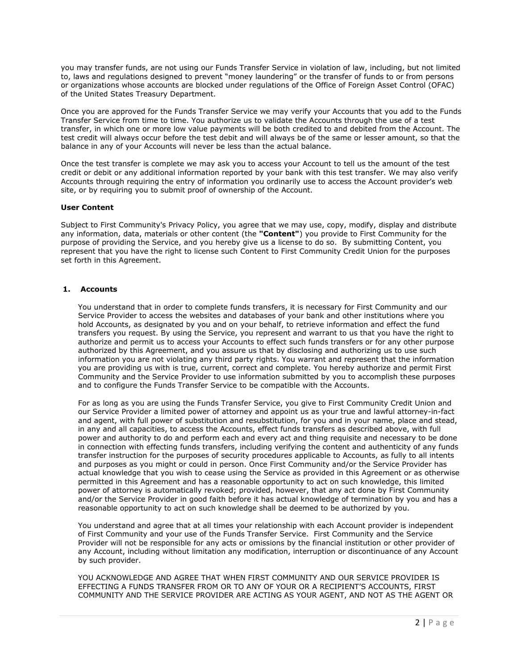you may transfer funds, are not using our Funds Transfer Service in violation of law, including, but not limited to, laws and regulations designed to prevent "money laundering" or the transfer of funds to or from persons or organizations whose accounts are blocked under regulations of the Office of Foreign Asset Control (OFAC) of the United States Treasury Department.

Once you are approved for the Funds Transfer Service we may verify your Accounts that you add to the Funds Transfer Service from time to time. You authorize us to validate the Accounts through the use of a test transfer, in which one or more low value payments will be both credited to and debited from the Account. The test credit will always occur before the test debit and will always be of the same or lesser amount, so that the balance in any of your Accounts will never be less than the actual balance.

Once the test transfer is complete we may ask you to access your Account to tell us the amount of the test credit or debit or any additional information reported by your bank with this test transfer. We may also verify Accounts through requiring the entry of information you ordinarily use to access the Account provider's web site, or by requiring you to submit proof of ownership of the Account.

#### **User Content**

Subject to First Community's Privacy Policy, you agree that we may use, copy, modify, display and distribute any information, data, materials or other content (the **"Content"**) you provide to First Community for the purpose of providing the Service, and you hereby give us a license to do so. By submitting Content, you represent that you have the right to license such Content to First Community Credit Union for the purposes set forth in this Agreement.

## **1. Accounts**

You understand that in order to complete funds transfers, it is necessary for First Community and our Service Provider to access the websites and databases of your bank and other institutions where you hold Accounts, as designated by you and on your behalf, to retrieve information and effect the fund transfers you request. By using the Service, you represent and warrant to us that you have the right to authorize and permit us to access your Accounts to effect such funds transfers or for any other purpose authorized by this Agreement, and you assure us that by disclosing and authorizing us to use such information you are not violating any third party rights. You warrant and represent that the information you are providing us with is true, current, correct and complete. You hereby authorize and permit First Community and the Service Provider to use information submitted by you to accomplish these purposes and to configure the Funds Transfer Service to be compatible with the Accounts.

For as long as you are using the Funds Transfer Service, you give to First Community Credit Union and our Service Provider a limited power of attorney and appoint us as your true and lawful attorney-in-fact and agent, with full power of substitution and resubstitution, for you and in your name, place and stead, in any and all capacities, to access the Accounts, effect funds transfers as described above, with full power and authority to do and perform each and every act and thing requisite and necessary to be done in connection with effecting funds transfers, including verifying the content and authenticity of any funds transfer instruction for the purposes of security procedures applicable to Accounts, as fully to all intents and purposes as you might or could in person. Once First Community and/or the Service Provider has actual knowledge that you wish to cease using the Service as provided in this Agreement or as otherwise permitted in this Agreement and has a reasonable opportunity to act on such knowledge, this limited power of attorney is automatically revoked; provided, however, that any act done by First Community and/or the Service Provider in good faith before it has actual knowledge of termination by you and has a reasonable opportunity to act on such knowledge shall be deemed to be authorized by you.

You understand and agree that at all times your relationship with each Account provider is independent of First Community and your use of the Funds Transfer Service. First Community and the Service Provider will not be responsible for any acts or omissions by the financial institution or other provider of any Account, including without limitation any modification, interruption or discontinuance of any Account by such provider.

YOU ACKNOWLEDGE AND AGREE THAT WHEN FIRST COMMUNITY AND OUR SERVICE PROVIDER IS EFFECTING A FUNDS TRANSFER FROM OR TO ANY OF YOUR OR A RECIPIENT'S ACCOUNTS, FIRST COMMUNITY AND THE SERVICE PROVIDER ARE ACTING AS YOUR AGENT, AND NOT AS THE AGENT OR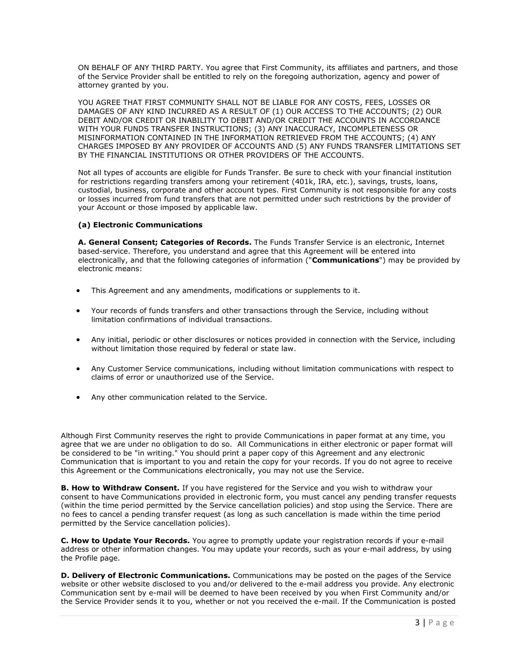ON BEHALF OF ANY THIRD PARTY. You agree that First Community, its affiliates and partners, and those of the Service Provider shall be entitled to rely on the foregoing authorization, agency and power of attorney granted by you.

YOU AGREE THAT FIRST COMMUNITY SHALL NOT BE LIABLE FOR ANY COSTS, FEES, LOSSES OR DAMAGES OF ANY KIND INCURRED AS A RESULT OF (1) OUR ACCESS TO THE ACCOUNTS; (2) OUR DEBIT AND/OR CREDIT OR INABILITY TO DEBIT AND/OR CREDIT THE ACCOUNTS IN ACCORDANCE WITH YOUR FUNDS TRANSFER INSTRUCTIONS; (3) ANY INACCURACY, INCOMPLETENESS OR MISINFORMATION CONTAINED IN THE INFORMATION RETRIEVED FROM THE ACCOUNTS; (4) ANY CHARGES IMPOSED BY ANY PROVIDER OF ACCOUNTS AND (5) ANY FUNDS TRANSFER LIMITATIONS SET BY THE FINANCIAL INSTITUTIONS OR OTHER PROVIDERS OF THE ACCOUNTS.

Not all types of accounts are eligible for Funds Transfer. Be sure to check with your financial institution for restrictions regarding transfers among your retirement (401k, IRA, etc.), savings, trusts, loans, custodial, business, corporate and other account types. First Community is not responsible for any costs or losses incurred from fund transfers that are not permitted under such restrictions by the provider of your Account or those imposed by applicable law.

## **(a) Electronic Communications**

**A. General Consent; Categories of Records.** The Funds Transfer Service is an electronic, Internet based-service. Therefore, you understand and agree that this Agreement will be entered into electronically, and that the following categories of information ("**Communications**") may be provided by electronic means:

- This Agreement and any amendments, modifications or supplements to it.
- Your records of funds transfers and other transactions through the Service, including without limitation confirmations of individual transactions.
- Any initial, periodic or other disclosures or notices provided in connection with the Service, including without limitation those required by federal or state law.
- Any Customer Service communications, including without limitation communications with respect to claims of error or unauthorized use of the Service.
- Any other communication related to the Service.

Although First Community reserves the right to provide Communications in paper format at any time, you agree that we are under no obligation to do so. All Communications in either electronic or paper format will be considered to be "in writing." You should print a paper copy of this Agreement and any electronic Communication that is important to you and retain the copy for your records. If you do not agree to receive this Agreement or the Communications electronically, you may not use the Service.

**B. How to Withdraw Consent.** If you have registered for the Service and you wish to withdraw your consent to have Communications provided in electronic form, you must cancel any pending transfer requests (within the time period permitted by the Service cancellation policies) and stop using the Service. There are no fees to cancel a pending transfer request (as long as such cancellation is made within the time period permitted by the Service cancellation policies).

**C. How to Update Your Records.** You agree to promptly update your registration records if your e-mail address or other information changes. You may update your records, such as your e-mail address, by using the Profile page.

**D. Delivery of Electronic Communications.** Communications may be posted on the pages of the Service website or other website disclosed to you and/or delivered to the e-mail address you provide. Any electronic Communication sent by e-mail will be deemed to have been received by you when First Community and/or the Service Provider sends it to you, whether or not you received the e-mail. If the Communication is posted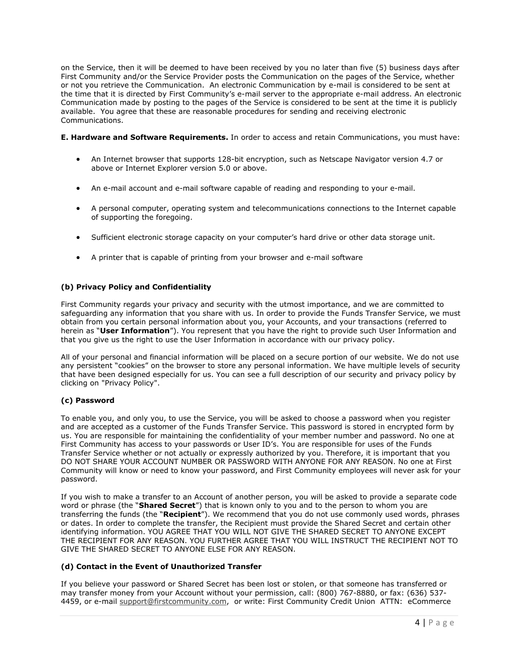on the Service, then it will be deemed to have been received by you no later than five (5) business days after First Community and/or the Service Provider posts the Communication on the pages of the Service, whether or not you retrieve the Communication. An electronic Communication by e-mail is considered to be sent at the time that it is directed by First Community's e-mail server to the appropriate e-mail address. An electronic Communication made by posting to the pages of the Service is considered to be sent at the time it is publicly available. You agree that these are reasonable procedures for sending and receiving electronic Communications.

**E. Hardware and Software Requirements.** In order to access and retain Communications, you must have:

- An Internet browser that supports 128-bit encryption, such as Netscape Navigator version 4.7 or above or Internet Explorer version 5.0 or above.
- An e-mail account and e-mail software capable of reading and responding to your e-mail.
- A personal computer, operating system and telecommunications connections to the Internet capable of supporting the foregoing.
- Sufficient electronic storage capacity on your computer's hard drive or other data storage unit.
- A printer that is capable of printing from your browser and e-mail software

## **(b) Privacy Policy and Confidentiality**

First Community regards your privacy and security with the utmost importance, and we are committed to safeguarding any information that you share with us. In order to provide the Funds Transfer Service, we must obtain from you certain personal information about you, your Accounts, and your transactions (referred to herein as "**User Information**"). You represent that you have the right to provide such User Information and that you give us the right to use the User Information in accordance with our privacy policy.

All of your personal and financial information will be placed on a secure portion of our website. We do not use any persistent "cookies" on the browser to store any personal information. We have multiple levels of security that have been designed especially for us. You can see a full description of our security and privacy policy by clicking on "Privacy Policy".

## **(c) Password**

To enable you, and only you, to use the Service, you will be asked to choose a password when you register and are accepted as a customer of the Funds Transfer Service. This password is stored in encrypted form by us. You are responsible for maintaining the confidentiality of your member number and password. No one at First Community has access to your passwords or User ID's. You are responsible for uses of the Funds Transfer Service whether or not actually or expressly authorized by you. Therefore, it is important that you DO NOT SHARE YOUR ACCOUNT NUMBER OR PASSWORD WITH ANYONE FOR ANY REASON. No one at First Community will know or need to know your password, and First Community employees will never ask for your password.

If you wish to make a transfer to an Account of another person, you will be asked to provide a separate code word or phrase (the "**Shared Secret**") that is known only to you and to the person to whom you are transferring the funds (the "**Recipient**"). We recommend that you do not use commonly used words, phrases or dates. In order to complete the transfer, the Recipient must provide the Shared Secret and certain other identifying information. YOU AGREE THAT YOU WILL NOT GIVE THE SHARED SECRET TO ANYONE EXCEPT THE RECIPIENT FOR ANY REASON. YOU FURTHER AGREE THAT YOU WILL INSTRUCT THE RECIPIENT NOT TO GIVE THE SHARED SECRET TO ANYONE ELSE FOR ANY REASON.

## **(d) Contact in the Event of Unauthorized Transfer**

If you believe your password or Shared Secret has been lost or stolen, or that someone has transferred or may transfer money from your Account without your permission, call: (800) 767-8880, or fax: (636) 537- 4459, or e-mail [support@firstcommunity.com,](mailto:support@firstcommunity.com) or write: First Community Credit Union ATTN: eCommerce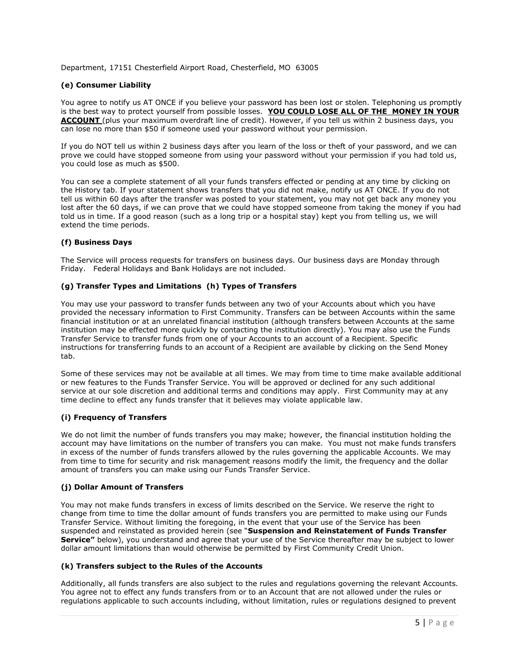Department, 17151 Chesterfield Airport Road, Chesterfield, MO 63005

## **(e) Consumer Liability**

You agree to notify us AT ONCE if you believe your password has been lost or stolen. Telephoning us promptly is the best way to protect yourself from possible losses. **YOU COULD LOSE ALL OF THE MONEY IN YOUR ACCOUNT** (plus your maximum overdraft line of credit). However, if you tell us within 2 business days, you can lose no more than \$50 if someone used your password without your permission.

If you do NOT tell us within 2 business days after you learn of the loss or theft of your password, and we can prove we could have stopped someone from using your password without your permission if you had told us, you could lose as much as \$500.

You can see a complete statement of all your funds transfers effected or pending at any time by clicking on the History tab. If your statement shows transfers that you did not make, notify us AT ONCE. If you do not tell us within 60 days after the transfer was posted to your statement, you may not get back any money you lost after the 60 days, if we can prove that we could have stopped someone from taking the money if you had told us in time. If a good reason (such as a long trip or a hospital stay) kept you from telling us, we will extend the time periods.

# **(f) Business Days**

The Service will process requests for transfers on business days. Our business days are Monday through Friday. Federal Holidays and Bank Holidays are not included.

## **(g) Transfer Types and Limitations (h) Types of Transfers**

You may use your password to transfer funds between any two of your Accounts about which you have provided the necessary information to First Community. Transfers can be between Accounts within the same financial institution or at an unrelated financial institution (although transfers between Accounts at the same institution may be effected more quickly by contacting the institution directly). You may also use the Funds Transfer Service to transfer funds from one of your Accounts to an account of a Recipient. Specific instructions for transferring funds to an account of a Recipient are available by clicking on the Send Money tab.

Some of these services may not be available at all times. We may from time to time make available additional or new features to the Funds Transfer Service. You will be approved or declined for any such additional service at our sole discretion and additional terms and conditions may apply. First Community may at any time decline to effect any funds transfer that it believes may violate applicable law.

## **(i) Frequency of Transfers**

We do not limit the number of funds transfers you may make; however, the financial institution holding the account may have limitations on the number of transfers you can make. You must not make funds transfers in excess of the number of funds transfers allowed by the rules governing the applicable Accounts. We may from time to time for security and risk management reasons modify the limit, the frequency and the dollar amount of transfers you can make using our Funds Transfer Service.

## **(j) Dollar Amount of Transfers**

You may not make funds transfers in excess of limits described on the Service. We reserve the right to change from time to time the dollar amount of funds transfers you are permitted to make using our Funds Transfer Service. Without limiting the foregoing, in the event that your use of the Service has been suspended and reinstated as provided herein (see "**Suspension and Reinstatement of Funds Transfer Service"** below), you understand and agree that your use of the Service thereafter may be subject to lower dollar amount limitations than would otherwise be permitted by First Community Credit Union.

## **(k) Transfers subject to the Rules of the Accounts**

Additionally, all funds transfers are also subject to the rules and regulations governing the relevant Accounts. You agree not to effect any funds transfers from or to an Account that are not allowed under the rules or regulations applicable to such accounts including, without limitation, rules or regulations designed to prevent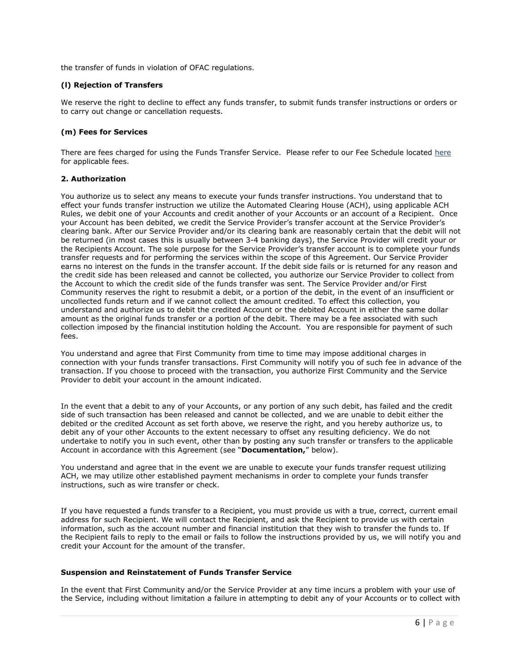the transfer of funds in violation of OFAC regulations.

### **(l) Rejection of Transfers**

We reserve the right to decline to effect any funds transfer, to submit funds transfer instructions or orders or to carry out change or cancellation requests.

### **(m) Fees for Services**

There are fees charged for using the Funds Transfer Service. Please refer to our Fee Schedule located [here](http://www.firstcommunity.com/custom/fi/fccuchesterfieldmo/fb/disclosure/fee_schedule.pdf) for applicable fees.

#### **2. Authorization**

You authorize us to select any means to execute your funds transfer instructions. You understand that to effect your funds transfer instruction we utilize the Automated Clearing House (ACH), using applicable ACH Rules, we debit one of your Accounts and credit another of your Accounts or an account of a Recipient. Once your Account has been debited, we credit the Service Provider's transfer account at the Service Provider's clearing bank. After our Service Provider and/or its clearing bank are reasonably certain that the debit will not be returned (in most cases this is usually between 3-4 banking days), the Service Provider will credit your or the Recipients Account. The sole purpose for the Service Provider's transfer account is to complete your funds transfer requests and for performing the services within the scope of this Agreement. Our Service Provider earns no interest on the funds in the transfer account. If the debit side fails or is returned for any reason and the credit side has been released and cannot be collected, you authorize our Service Provider to collect from the Account to which the credit side of the funds transfer was sent. The Service Provider and/or First Community reserves the right to resubmit a debit, or a portion of the debit, in the event of an insufficient or uncollected funds return and if we cannot collect the amount credited. To effect this collection, you understand and authorize us to debit the credited Account or the debited Account in either the same dollar amount as the original funds transfer or a portion of the debit. There may be a fee associated with such collection imposed by the financial institution holding the Account. You are responsible for payment of such fees.

You understand and agree that First Community from time to time may impose additional charges in connection with your funds transfer transactions. First Community will notify you of such fee in advance of the transaction. If you choose to proceed with the transaction, you authorize First Community and the Service Provider to debit your account in the amount indicated.

In the event that a debit to any of your Accounts, or any portion of any such debit, has failed and the credit side of such transaction has been released and cannot be collected, and we are unable to debit either the debited or the credited Account as set forth above, we reserve the right, and you hereby authorize us, to debit any of your other Accounts to the extent necessary to offset any resulting deficiency. We do not undertake to notify you in such event, other than by posting any such transfer or transfers to the applicable Account in accordance with this Agreement (see "**Documentation,**" below).

You understand and agree that in the event we are unable to execute your funds transfer request utilizing ACH, we may utilize other established payment mechanisms in order to complete your funds transfer instructions, such as wire transfer or check.

If you have requested a funds transfer to a Recipient, you must provide us with a true, correct, current email address for such Recipient. We will contact the Recipient, and ask the Recipient to provide us with certain information, such as the account number and financial institution that they wish to transfer the funds to. If the Recipient fails to reply to the email or fails to follow the instructions provided by us, we will notify you and credit your Account for the amount of the transfer.

## **Suspension and Reinstatement of Funds Transfer Service**

In the event that First Community and/or the Service Provider at any time incurs a problem with your use of the Service, including without limitation a failure in attempting to debit any of your Accounts or to collect with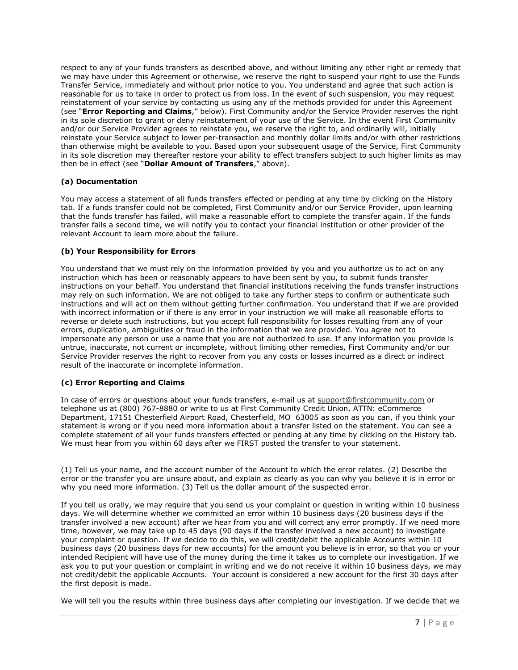respect to any of your funds transfers as described above, and without limiting any other right or remedy that we may have under this Agreement or otherwise, we reserve the right to suspend your right to use the Funds Transfer Service, immediately and without prior notice to you. You understand and agree that such action is reasonable for us to take in order to protect us from loss. In the event of such suspension, you may request reinstatement of your service by contacting us using any of the methods provided for under this Agreement (see "**Error Reporting and Claims**," below). First Community and/or the Service Provider reserves the right in its sole discretion to grant or deny reinstatement of your use of the Service. In the event First Community and/or our Service Provider agrees to reinstate you, we reserve the right to, and ordinarily will, initially reinstate your Service subject to lower per-transaction and monthly dollar limits and/or with other restrictions than otherwise might be available to you. Based upon your subsequent usage of the Service, First Community in its sole discretion may thereafter restore your ability to effect transfers subject to such higher limits as may then be in effect (see "**Dollar Amount of Transfers**," above).

## **(a) Documentation**

You may access a statement of all funds transfers effected or pending at any time by clicking on the History tab. If a funds transfer could not be completed, First Community and/or our Service Provider, upon learning that the funds transfer has failed, will make a reasonable effort to complete the transfer again. If the funds transfer fails a second time, we will notify you to contact your financial institution or other provider of the relevant Account to learn more about the failure.

## **(b) Your Responsibility for Errors**

You understand that we must rely on the information provided by you and you authorize us to act on any instruction which has been or reasonably appears to have been sent by you, to submit funds transfer instructions on your behalf. You understand that financial institutions receiving the funds transfer instructions may rely on such information. We are not obliged to take any further steps to confirm or authenticate such instructions and will act on them without getting further confirmation. You understand that if we are provided with incorrect information or if there is any error in your instruction we will make all reasonable efforts to reverse or delete such instructions, but you accept full responsibility for losses resulting from any of your errors, duplication, ambiguities or fraud in the information that we are provided. You agree not to impersonate any person or use a name that you are not authorized to use. If any information you provide is untrue, inaccurate, not current or incomplete, without limiting other remedies, First Community and/or our Service Provider reserves the right to recover from you any costs or losses incurred as a direct or indirect result of the inaccurate or incomplete information.

## **(c) Error Reporting and Claims**

In case of errors or questions about your funds transfers, e-mail us at support@firstcommunity.com or telephone us at (800) 767-8880 or write to us at First Community Credit Union, ATTN: eCommerce Department, 17151 Chesterfield Airport Road, Chesterfield, MO 63005 as soon as you can, if you think your statement is wrong or if you need more information about a transfer listed on the statement. You can see a complete statement of all your funds transfers effected or pending at any time by clicking on the History tab. We must hear from you within 60 days after we FIRST posted the transfer to your statement.

(1) Tell us your name, and the account number of the Account to which the error relates. (2) Describe the error or the transfer you are unsure about, and explain as clearly as you can why you believe it is in error or why you need more information. (3) Tell us the dollar amount of the suspected error.

If you tell us orally, we may require that you send us your complaint or question in writing within 10 business days. We will determine whether we committed an error within 10 business days (20 business days if the transfer involved a new account) after we hear from you and will correct any error promptly. If we need more time, however, we may take up to 45 days (90 days if the transfer involved a new account) to investigate your complaint or question. If we decide to do this, we will credit/debit the applicable Accounts within 10 business days (20 business days for new accounts) for the amount you believe is in error, so that you or your intended Recipient will have use of the money during the time it takes us to complete our investigation. If we ask you to put your question or complaint in writing and we do not receive it within 10 business days, we may not credit/debit the applicable Accounts. Your account is considered a new account for the first 30 days after the first deposit is made.

We will tell you the results within three business days after completing our investigation. If we decide that we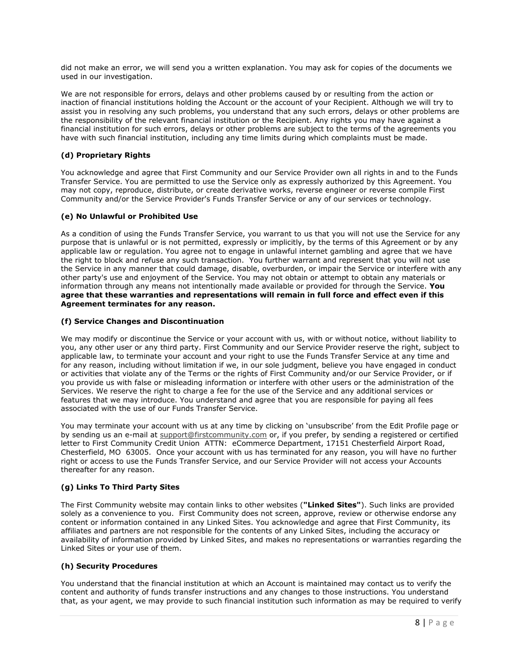did not make an error, we will send you a written explanation. You may ask for copies of the documents we used in our investigation.

We are not responsible for errors, delays and other problems caused by or resulting from the action or inaction of financial institutions holding the Account or the account of your Recipient. Although we will try to assist you in resolving any such problems, you understand that any such errors, delays or other problems are the responsibility of the relevant financial institution or the Recipient. Any rights you may have against a financial institution for such errors, delays or other problems are subject to the terms of the agreements you have with such financial institution, including any time limits during which complaints must be made.

### **(d) Proprietary Rights**

You acknowledge and agree that First Community and our Service Provider own all rights in and to the Funds Transfer Service. You are permitted to use the Service only as expressly authorized by this Agreement. You may not copy, reproduce, distribute, or create derivative works, reverse engineer or reverse compile First Community and/or the Service Provider's Funds Transfer Service or any of our services or technology.

#### **(e) No Unlawful or Prohibited Use**

As a condition of using the Funds Transfer Service, you warrant to us that you will not use the Service for any purpose that is unlawful or is not permitted, expressly or implicitly, by the terms of this Agreement or by any applicable law or regulation. You agree not to engage in unlawful internet gambling and agree that we have the right to block and refuse any such transaction. You further warrant and represent that you will not use the Service in any manner that could damage, disable, overburden, or impair the Service or interfere with any other party's use and enjoyment of the Service. You may not obtain or attempt to obtain any materials or information through any means not intentionally made available or provided for through the Service. **You agree that these warranties and representations will remain in full force and effect even if this Agreement terminates for any reason.**

#### **(f) Service Changes and Discontinuation**

We may modify or discontinue the Service or your account with us, with or without notice, without liability to you, any other user or any third party. First Community and our Service Provider reserve the right, subject to applicable law, to terminate your account and your right to use the Funds Transfer Service at any time and for any reason, including without limitation if we, in our sole judgment, believe you have engaged in conduct or activities that violate any of the Terms or the rights of First Community and/or our Service Provider, or if you provide us with false or misleading information or interfere with other users or the administration of the Services. We reserve the right to charge a fee for the use of the Service and any additional services or features that we may introduce. You understand and agree that you are responsible for paying all fees associated with the use of our Funds Transfer Service.

You may terminate your account with us at any time by clicking on 'unsubscribe' from the Edit Profile page or by sending us an e-mail at [support@firstcommunity.com](mailto:support@firstcommunity.com) or, if you prefer, by sending a registered or certified letter to First Community Credit Union ATTN: eCommerce Department, 17151 Chesterfield Airport Road, Chesterfield, MO 63005. Once your account with us has terminated for any reason, you will have no further right or access to use the Funds Transfer Service, and our Service Provider will not access your Accounts thereafter for any reason.

## **(g) Links To Third Party Sites**

The First Community website may contain links to other websites (**"Linked Sites"**). Such links are provided solely as a convenience to you. First Community does not screen, approve, review or otherwise endorse any content or information contained in any Linked Sites. You acknowledge and agree that First Community, its affiliates and partners are not responsible for the contents of any Linked Sites, including the accuracy or availability of information provided by Linked Sites, and makes no representations or warranties regarding the Linked Sites or your use of them.

#### **(h) Security Procedures**

You understand that the financial institution at which an Account is maintained may contact us to verify the content and authority of funds transfer instructions and any changes to those instructions. You understand that, as your agent, we may provide to such financial institution such information as may be required to verify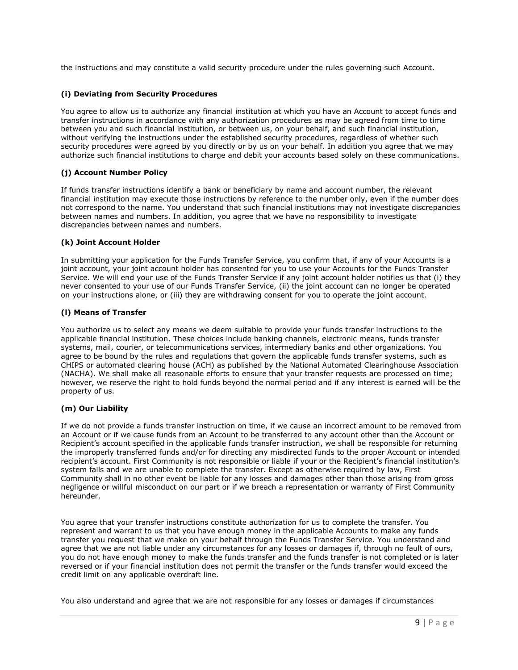the instructions and may constitute a valid security procedure under the rules governing such Account.

## **(i) Deviating from Security Procedures**

You agree to allow us to authorize any financial institution at which you have an Account to accept funds and transfer instructions in accordance with any authorization procedures as may be agreed from time to time between you and such financial institution, or between us, on your behalf, and such financial institution, without verifying the instructions under the established security procedures, regardless of whether such security procedures were agreed by you directly or by us on your behalf. In addition you agree that we may authorize such financial institutions to charge and debit your accounts based solely on these communications.

## **(j) Account Number Policy**

If funds transfer instructions identify a bank or beneficiary by name and account number, the relevant financial institution may execute those instructions by reference to the number only, even if the number does not correspond to the name. You understand that such financial institutions may not investigate discrepancies between names and numbers. In addition, you agree that we have no responsibility to investigate discrepancies between names and numbers.

## **(k) Joint Account Holder**

In submitting your application for the Funds Transfer Service, you confirm that, if any of your Accounts is a joint account, your joint account holder has consented for you to use your Accounts for the Funds Transfer Service. We will end your use of the Funds Transfer Service if any joint account holder notifies us that (i) they never consented to your use of our Funds Transfer Service, (ii) the joint account can no longer be operated on your instructions alone, or (iii) they are withdrawing consent for you to operate the joint account.

## **(l) Means of Transfer**

You authorize us to select any means we deem suitable to provide your funds transfer instructions to the applicable financial institution. These choices include banking channels, electronic means, funds transfer systems, mail, courier, or telecommunications services, intermediary banks and other organizations. You agree to be bound by the rules and regulations that govern the applicable funds transfer systems, such as CHIPS or automated clearing house (ACH) as published by the National Automated Clearinghouse Association (NACHA). We shall make all reasonable efforts to ensure that your transfer requests are processed on time; however, we reserve the right to hold funds beyond the normal period and if any interest is earned will be the property of us.

## **(m) Our Liability**

If we do not provide a funds transfer instruction on time, if we cause an incorrect amount to be removed from an Account or if we cause funds from an Account to be transferred to any account other than the Account or Recipient's account specified in the applicable funds transfer instruction, we shall be responsible for returning the improperly transferred funds and/or for directing any misdirected funds to the proper Account or intended recipient's account. First Community is not responsible or liable if your or the Recipient's financial institution's system fails and we are unable to complete the transfer. Except as otherwise required by law, First Community shall in no other event be liable for any losses and damages other than those arising from gross negligence or willful misconduct on our part or if we breach a representation or warranty of First Community hereunder.

You agree that your transfer instructions constitute authorization for us to complete the transfer. You represent and warrant to us that you have enough money in the applicable Accounts to make any funds transfer you request that we make on your behalf through the Funds Transfer Service. You understand and agree that we are not liable under any circumstances for any losses or damages if, through no fault of ours, you do not have enough money to make the funds transfer and the funds transfer is not completed or is later reversed or if your financial institution does not permit the transfer or the funds transfer would exceed the credit limit on any applicable overdraft line.

You also understand and agree that we are not responsible for any losses or damages if circumstances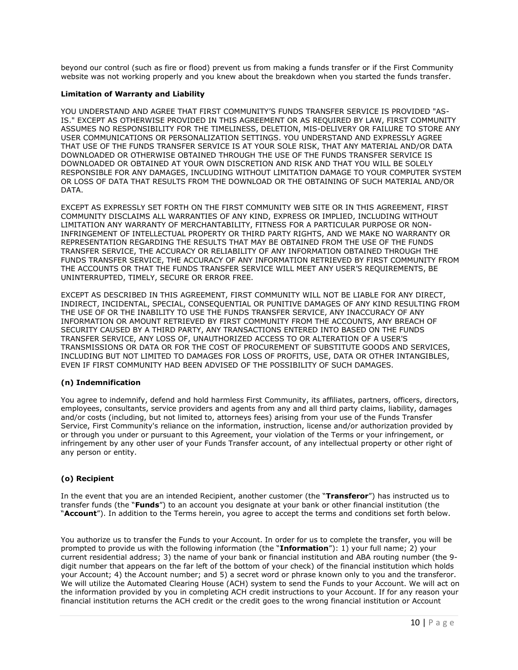beyond our control (such as fire or flood) prevent us from making a funds transfer or if the First Community website was not working properly and you knew about the breakdown when you started the funds transfer.

#### **Limitation of Warranty and Liability**

YOU UNDERSTAND AND AGREE THAT FIRST COMMUNITY'S FUNDS TRANSFER SERVICE IS PROVIDED "AS-IS." EXCEPT AS OTHERWISE PROVIDED IN THIS AGREEMENT OR AS REQUIRED BY LAW, FIRST COMMUNITY ASSUMES NO RESPONSIBILITY FOR THE TIMELINESS, DELETION, MIS-DELIVERY OR FAILURE TO STORE ANY USER COMMUNICATIONS OR PERSONALIZATION SETTINGS. YOU UNDERSTAND AND EXPRESSLY AGREE THAT USE OF THE FUNDS TRANSFER SERVICE IS AT YOUR SOLE RISK, THAT ANY MATERIAL AND/OR DATA DOWNLOADED OR OTHERWISE OBTAINED THROUGH THE USE OF THE FUNDS TRANSFER SERVICE IS DOWNLOADED OR OBTAINED AT YOUR OWN DISCRETION AND RISK AND THAT YOU WILL BE SOLELY RESPONSIBLE FOR ANY DAMAGES, INCLUDING WITHOUT LIMITATION DAMAGE TO YOUR COMPUTER SYSTEM OR LOSS OF DATA THAT RESULTS FROM THE DOWNLOAD OR THE OBTAINING OF SUCH MATERIAL AND/OR DATA.

EXCEPT AS EXPRESSLY SET FORTH ON THE FIRST COMMUNITY WEB SITE OR IN THIS AGREEMENT, FIRST COMMUNITY DISCLAIMS ALL WARRANTIES OF ANY KIND, EXPRESS OR IMPLIED, INCLUDING WITHOUT LIMITATION ANY WARRANTY OF MERCHANTABILITY, FITNESS FOR A PARTICULAR PURPOSE OR NON-INFRINGEMENT OF INTELLECTUAL PROPERTY OR THIRD PARTY RIGHTS, AND WE MAKE NO WARRANTY OR REPRESENTATION REGARDING THE RESULTS THAT MAY BE OBTAINED FROM THE USE OF THE FUNDS TRANSFER SERVICE, THE ACCURACY OR RELIABILITY OF ANY INFORMATION OBTAINED THROUGH THE FUNDS TRANSFER SERVICE, THE ACCURACY OF ANY INFORMATION RETRIEVED BY FIRST COMMUNITY FROM THE ACCOUNTS OR THAT THE FUNDS TRANSFER SERVICE WILL MEET ANY USER'S REQUIREMENTS, BE UNINTERRUPTED, TIMELY, SECURE OR ERROR FREE.

EXCEPT AS DESCRIBED IN THIS AGREEMENT, FIRST COMMUNITY WILL NOT BE LIABLE FOR ANY DIRECT, INDIRECT, INCIDENTAL, SPECIAL, CONSEQUENTIAL OR PUNITIVE DAMAGES OF ANY KIND RESULTING FROM THE USE OF OR THE INABILITY TO USE THE FUNDS TRANSFER SERVICE, ANY INACCURACY OF ANY INFORMATION OR AMOUNT RETRIEVED BY FIRST COMMUNITY FROM THE ACCOUNTS, ANY BREACH OF SECURITY CAUSED BY A THIRD PARTY, ANY TRANSACTIONS ENTERED INTO BASED ON THE FUNDS TRANSFER SERVICE, ANY LOSS OF, UNAUTHORIZED ACCESS TO OR ALTERATION OF A USER'S TRANSMISSIONS OR DATA OR FOR THE COST OF PROCUREMENT OF SUBSTITUTE GOODS AND SERVICES, INCLUDING BUT NOT LIMITED TO DAMAGES FOR LOSS OF PROFITS, USE, DATA OR OTHER INTANGIBLES, EVEN IF FIRST COMMUNITY HAD BEEN ADVISED OF THE POSSIBILITY OF SUCH DAMAGES.

## **(n) Indemnification**

You agree to indemnify, defend and hold harmless First Community, its affiliates, partners, officers, directors, employees, consultants, service providers and agents from any and all third party claims, liability, damages and/or costs (including, but not limited to, attorneys fees) arising from your use of the Funds Transfer Service, First Community's reliance on the information, instruction, license and/or authorization provided by or through you under or pursuant to this Agreement, your violation of the Terms or your infringement, or infringement by any other user of your Funds Transfer account, of any intellectual property or other right of any person or entity.

## **(o) Recipient**

In the event that you are an intended Recipient, another customer (the "**Transferor**") has instructed us to transfer funds (the "**Funds**") to an account you designate at your bank or other financial institution (the "**Account**"). In addition to the Terms herein, you agree to accept the terms and conditions set forth below.

You authorize us to transfer the Funds to your Account. In order for us to complete the transfer, you will be prompted to provide us with the following information (the "**Information**"): 1) your full name; 2) your current residential address; 3) the name of your bank or financial institution and ABA routing number (the 9 digit number that appears on the far left of the bottom of your check) of the financial institution which holds your Account; 4) the Account number; and 5) a secret word or phrase known only to you and the transferor. We will utilize the Automated Clearing House (ACH) system to send the Funds to your Account. We will act on the information provided by you in completing ACH credit instructions to your Account. If for any reason your financial institution returns the ACH credit or the credit goes to the wrong financial institution or Account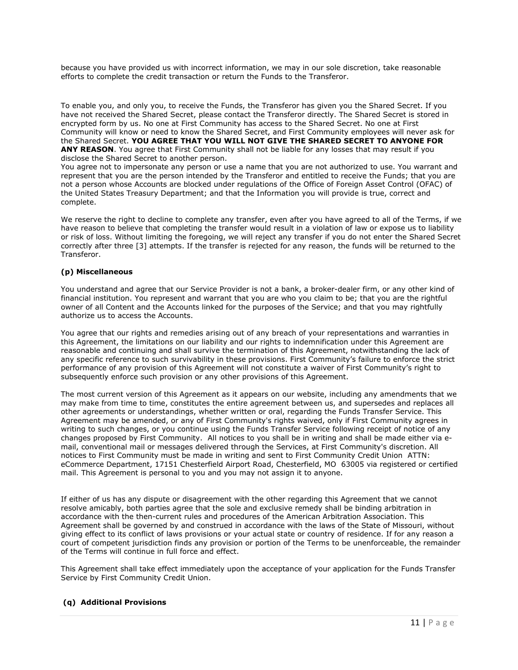because you have provided us with incorrect information, we may in our sole discretion, take reasonable efforts to complete the credit transaction or return the Funds to the Transferor.

To enable you, and only you, to receive the Funds, the Transferor has given you the Shared Secret. If you have not received the Shared Secret, please contact the Transferor directly. The Shared Secret is stored in encrypted form by us. No one at First Community has access to the Shared Secret. No one at First Community will know or need to know the Shared Secret, and First Community employees will never ask for the Shared Secret. **YOU AGREE THAT YOU WILL NOT GIVE THE SHARED SECRET TO ANYONE FOR ANY REASON**. You agree that First Community shall not be liable for any losses that may result if you disclose the Shared Secret to another person.

You agree not to impersonate any person or use a name that you are not authorized to use. You warrant and represent that you are the person intended by the Transferor and entitled to receive the Funds; that you are not a person whose Accounts are blocked under regulations of the Office of Foreign Asset Control (OFAC) of the United States Treasury Department; and that the Information you will provide is true, correct and complete.

We reserve the right to decline to complete any transfer, even after you have agreed to all of the Terms, if we have reason to believe that completing the transfer would result in a violation of law or expose us to liability or risk of loss. Without limiting the foregoing, we will reject any transfer if you do not enter the Shared Secret correctly after three [3] attempts. If the transfer is rejected for any reason, the funds will be returned to the Transferor.

#### **(p) Miscellaneous**

You understand and agree that our Service Provider is not a bank, a broker-dealer firm, or any other kind of financial institution. You represent and warrant that you are who you claim to be; that you are the rightful owner of all Content and the Accounts linked for the purposes of the Service; and that you may rightfully authorize us to access the Accounts.

You agree that our rights and remedies arising out of any breach of your representations and warranties in this Agreement, the limitations on our liability and our rights to indemnification under this Agreement are reasonable and continuing and shall survive the termination of this Agreement, notwithstanding the lack of any specific reference to such survivability in these provisions. First Community's failure to enforce the strict performance of any provision of this Agreement will not constitute a waiver of First Community's right to subsequently enforce such provision or any other provisions of this Agreement.

The most current version of this Agreement as it appears on our website, including any amendments that we may make from time to time, constitutes the entire agreement between us, and supersedes and replaces all other agreements or understandings, whether written or oral, regarding the Funds Transfer Service. This Agreement may be amended, or any of First Community's rights waived, only if First Community agrees in writing to such changes, or you continue using the Funds Transfer Service following receipt of notice of any changes proposed by First Community. All notices to you shall be in writing and shall be made either via email, conventional mail or messages delivered through the Services, at First Community's discretion. All notices to First Community must be made in writing and sent to First Community Credit Union ATTN: eCommerce Department, 17151 Chesterfield Airport Road, Chesterfield, MO 63005 via registered or certified mail. This Agreement is personal to you and you may not assign it to anyone.

If either of us has any dispute or disagreement with the other regarding this Agreement that we cannot resolve amicably, both parties agree that the sole and exclusive remedy shall be binding arbitration in accordance with the then-current rules and procedures of the American Arbitration Association. This Agreement shall be governed by and construed in accordance with the laws of the State of Missouri, without giving effect to its conflict of laws provisions or your actual state or country of residence. If for any reason a court of competent jurisdiction finds any provision or portion of the Terms to be unenforceable, the remainder of the Terms will continue in full force and effect.

This Agreement shall take effect immediately upon the acceptance of your application for the Funds Transfer Service by First Community Credit Union.

## **(q) Additional Provisions**